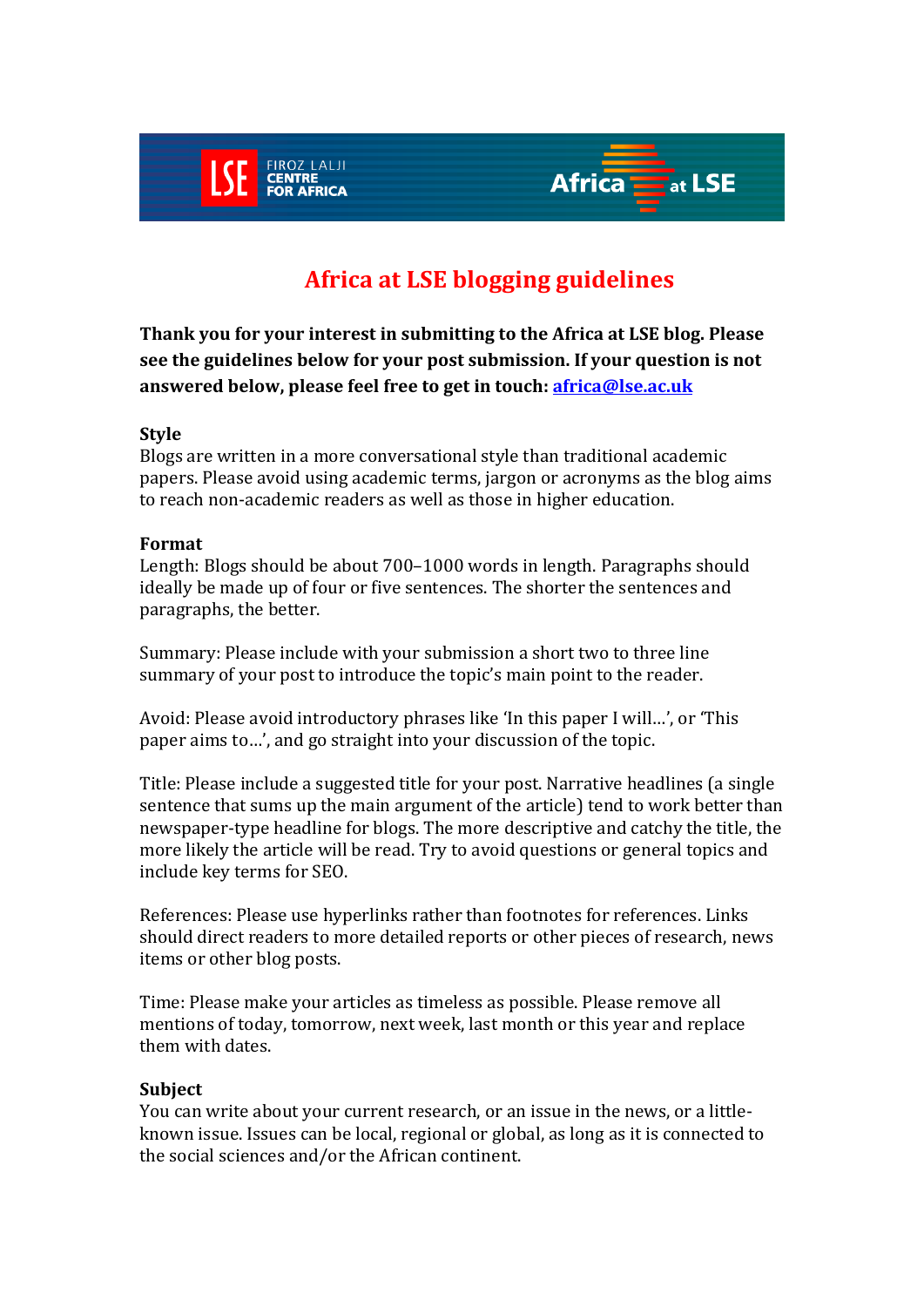

# **Africa at LSE blogging guidelines**

**Thank you for your interest in submitting to the Africa at LSE blog. Please see the guidelines below for your post submission. If your question is not answered below, please feel free to get in touch: [africa@lse.ac.uk](mailto:africa@lse.ac.uk)**

### **Style**

Blogs are written in a more conversational style than traditional academic papers. Please avoid using academic terms, jargon or acronyms as the blog aims to reach non-academic readers as well as those in higher education.

## **Format**

Length: Blogs should be about 700–1000 words in length. Paragraphs should ideally be made up of four or five sentences. The shorter the sentences and paragraphs, the better.

Summary: Please include with your submission a short two to three line summary of your post to introduce the topic's main point to the reader.

Avoid: Please avoid introductory phrases like 'In this paper I will…', or 'This paper aims to…', and go straight into your discussion of the topic.

Title: Please include a suggested title for your post. Narrative headlines (a single sentence that sums up the main argument of the article) tend to work better than newspaper-type headline for blogs. The more descriptive and catchy the title, the more likely the article will be read. Try to avoid questions or general topics and include key terms for SEO.

References: Please use hyperlinks rather than footnotes for references. Links should direct readers to more detailed reports or other pieces of research, news items or other blog posts.

Time: Please make your articles as timeless as possible. Please remove all mentions of today, tomorrow, next week, last month or this year and replace them with dates.

### **Subject**

You can write about your current research, or an issue in the news, or a littleknown issue. Issues can be local, regional or global, as long as it is connected to the social sciences and/or the African continent.